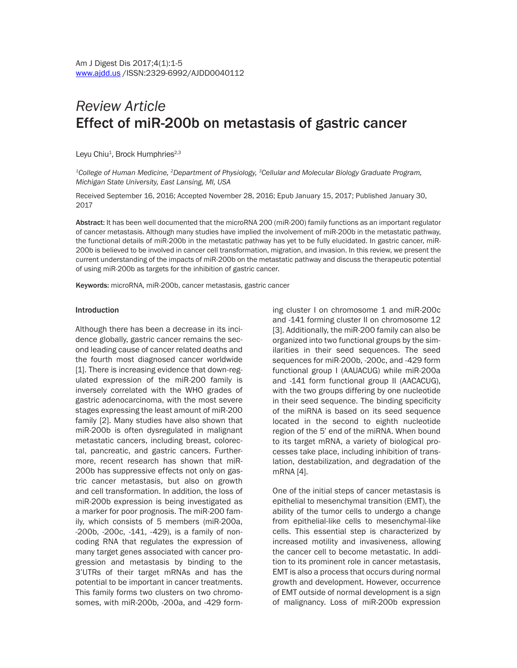# *Review Article* Effect of miR-200b on metastasis of gastric cancer

Leyu Chiu<sup>1</sup>, Brock Humphries<sup>2,3</sup>

*1College of Human Medicine, 2Department of Physiology, 3Cellular and Molecular Biology Graduate Program, Michigan State University, East Lansing, MI, USA*

Received September 16, 2016; Accepted November 28, 2016; Epub January 15, 2017; Published January 30, 2017

Abstract: It has been well documented that the microRNA 200 (miR-200) family functions as an important regulator of cancer metastasis. Although many studies have implied the involvement of miR-200b in the metastatic pathway, the functional details of miR-200b in the metastatic pathway has yet to be fully elucidated. In gastric cancer, miR-200b is believed to be involved in cancer cell transformation, migration, and invasion. In this review, we present the current understanding of the impacts of miR-200b on the metastatic pathway and discuss the therapeutic potential of using miR-200b as targets for the inhibition of gastric cancer.

Keywords: microRNA, miR-200b, cancer metastasis, gastric cancer

#### Introduction

Although there has been a decrease in its incidence globally, gastric cancer remains the second leading cause of cancer related deaths and the fourth most diagnosed cancer worldwide [1]. There is increasing evidence that down-regulated expression of the miR-200 family is inversely correlated with the WHO grades of gastric adenocarcinoma, with the most severe stages expressing the least amount of miR-200 family [2]. Many studies have also shown that miR-200b is often dysregulated in malignant metastatic cancers, including breast, colorectal, pancreatic, and gastric cancers. Furthermore, recent research has shown that miR-200b has suppressive effects not only on gastric cancer metastasis, but also on growth and cell transformation. In addition, the loss of miR-200b expression is being investigated as a marker for poor prognosis. The miR-200 family, which consists of 5 members (miR-200a, -200b, -200c, -141, -429), is a family of noncoding RNA that regulates the expression of many target genes associated with cancer progression and metastasis by binding to the 3'UTRs of their target mRNAs and has the potential to be important in cancer treatments. This family forms two clusters on two chromosomes, with miR-200b, -200a, and -429 forming cluster I on chromosome 1 and miR-200c and -141 forming cluster II on chromosome 12 [3]. Additionally, the miR-200 family can also be organized into two functional groups by the similarities in their seed sequences. The seed sequences for miR-200b, -200c, and -429 form functional group I (AAUACUG) while miR-200a and -141 form functional group II (AACACUG), with the two groups differing by one nucleotide in their seed sequence. The binding specificity of the miRNA is based on its seed sequence located in the second to eighth nucleotide region of the 5' end of the miRNA. When bound to its target mRNA, a variety of biological processes take place, including inhibition of translation, destabilization, and degradation of the mRNA [4].

One of the initial steps of cancer metastasis is epithelial to mesenchymal transition (EMT), the ability of the tumor cells to undergo a change from epithelial-like cells to mesenchymal-like cells. This essential step is characterized by increased motility and invasiveness, allowing the cancer cell to become metastatic. In addition to its prominent role in cancer metastasis, EMT is also a process that occurs during normal growth and development. However, occurrence of EMT outside of normal development is a sign of malignancy. Loss of miR-200b expression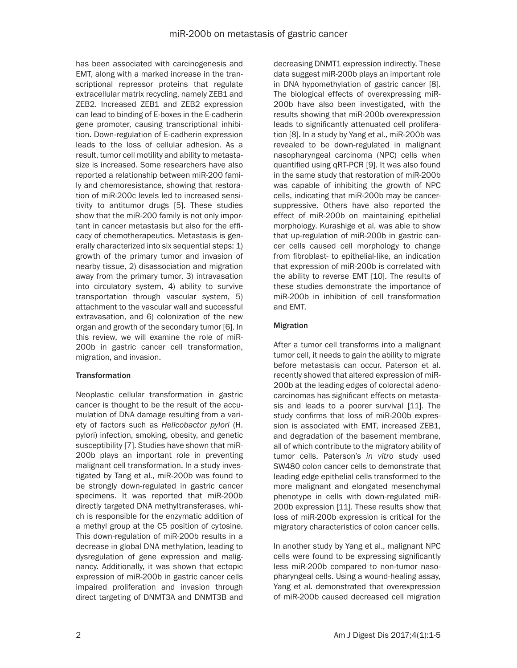has been associated with carcinogenesis and EMT, along with a marked increase in the transcriptional repressor proteins that regulate extracellular matrix recycling, namely ZEB1 and ZEB2. Increased ZEB1 and ZEB2 expression can lead to binding of E-boxes in the E-cadherin gene promoter, causing transcriptional inhibition. Down-regulation of E-cadherin expression leads to the loss of cellular adhesion. As a result, tumor cell motility and ability to metastasize is increased. Some researchers have also reported a relationship between miR-200 family and chemoresistance, showing that restoration of miR-200c levels led to increased sensitivity to antitumor drugs [5]. These studies show that the miR-200 family is not only important in cancer metastasis but also for the efficacy of chemotherapeutics. Metastasis is generally characterized into six sequential steps: 1) growth of the primary tumor and invasion of nearby tissue, 2) disassociation and migration away from the primary tumor, 3) intravasation into circulatory system, 4) ability to survive transportation through vascular system, 5) attachment to the vascular wall and successful extravasation, and 6) colonization of the new organ and growth of the secondary tumor [6]. In this review, we will examine the role of miR-200b in gastric cancer cell transformation, migration, and invasion.

# **Transformation**

Neoplastic cellular transformation in gastric cancer is thought to be the result of the accumulation of DNA damage resulting from a variety of factors such as *Helicobactor pylori* (H. pylori) infection, smoking, obesity, and genetic susceptibility [7]. Studies have shown that miR-200b plays an important role in preventing malignant cell transformation. In a study investigated by Tang et al., miR-200b was found to be strongly down-regulated in gastric cancer specimens. It was reported that miR-200b directly targeted DNA methyltransferases, which is responsible for the enzymatic addition of a methyl group at the C5 position of cytosine. This down-regulation of miR-200b results in a decrease in global DNA methylation, leading to dysregulation of gene expression and malignancy. Additionally, it was shown that ectopic expression of miR-200b in gastric cancer cells impaired proliferation and invasion through direct targeting of DNMT3A and DNMT3B and

decreasing DNMT1 expression indirectly. These data suggest miR-200b plays an important role in DNA hypomethylation of gastric cancer [8]. The biological effects of overexpressing miR-200b have also been investigated, with the results showing that miR-200b overexpression leads to significantly attenuated cell proliferation [8]. In a study by Yang et al., miR-200b was revealed to be down-regulated in malignant nasopharyngeal carcinoma (NPC) cells when quantified using qRT-PCR [9]. It was also found in the same study that restoration of miR-200b was capable of inhibiting the growth of NPC cells, indicating that miR-200b may be cancersuppressive. Others have also reported the effect of miR-200b on maintaining epithelial morphology. Kurashige et al. was able to show that up-regulation of miR-200b in gastric cancer cells caused cell morphology to change from fibroblast- to epithelial-like, an indication that expression of miR-200b is correlated with the ability to reverse EMT [10]. The results of these studies demonstrate the importance of miR-200b in inhibition of cell transformation and EMT.

## Migration

After a tumor cell transforms into a malignant tumor cell, it needs to gain the ability to migrate before metastasis can occur. Paterson et al. recently showed that altered expression of miR-200b at the leading edges of colorectal adenocarcinomas has significant effects on metastasis and leads to a poorer survival [11]. The study confirms that loss of miR-200b expression is associated with EMT, increased ZEB1, and degradation of the basement membrane, all of which contribute to the migratory ability of tumor cells. Paterson's *in vitro* study used SW480 colon cancer cells to demonstrate that leading edge epithelial cells transformed to the more malignant and elongated mesenchymal phenotype in cells with down-regulated miR-200b expression [11]. These results show that loss of miR-200b expression is critical for the migratory characteristics of colon cancer cells.

In another study by Yang et al., malignant NPC cells were found to be expressing significantly less miR-200b compared to non-tumor nasopharyngeal cells. Using a wound-healing assay, Yang et al. demonstrated that overexpression of miR-200b caused decreased cell migration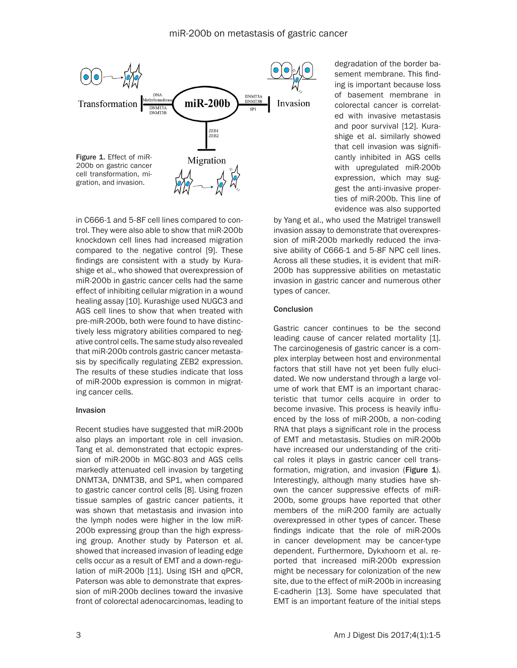

in C666-1 and 5-8F cell lines compared to control. They were also able to show that miR-200b knockdown cell lines had increased migration compared to the negative control [9]. These findings are consistent with a study by Kurashige et al., who showed that overexpression of miR-200b in gastric cancer cells had the same effect of inhibiting cellular migration in a wound healing assay [10]. Kurashige used NUGC3 and AGS cell lines to show that when treated with pre-miR-200b, both were found to have distinctively less migratory abilities compared to negative control cells. The same study also revealed that miR-200b controls gastric cancer metastasis by specifically regulating ZEB2 expression. The results of these studies indicate that loss of miR-200b expression is common in migrating cancer cells.

### Invasion

Recent studies have suggested that miR-200b also plays an important role in cell invasion. Tang et al. demonstrated that ectopic expression of miR-200b in MGC-803 and AGS cells markedly attenuated cell invasion by targeting DNMT3A, DNMT3B, and SP1, when compared to gastric cancer control cells [8]. Using frozen tissue samples of gastric cancer patients, it was shown that metastasis and invasion into the lymph nodes were higher in the low miR-200b expressing group than the high expressing group. Another study by Paterson et al. showed that increased invasion of leading edge cells occur as a result of EMT and a down-regulation of miR-200b [11]. Using ISH and qPCR, Paterson was able to demonstrate that expression of miR-200b declines toward the invasive front of colorectal adenocarcinomas, leading to

degradation of the border basement membrane. This finding is important because loss of basement membrane in colorectal cancer is correlated with invasive metastasis and poor survival [12]. Kurashige et al. similarly showed that cell invasion was significantly inhibited in AGS cells with upregulated miR-200b expression, which may suggest the anti-invasive properties of miR-200b. This line of evidence was also supported

by Yang et al., who used the Matrigel transwell invasion assay to demonstrate that overexpression of miR-200b markedly reduced the invasive ability of C666-1 and 5-8F NPC cell lines. Across all these studies, it is evident that miR-200b has suppressive abilities on metastatic invasion in gastric cancer and numerous other types of cancer.

### Conclusion

Gastric cancer continues to be the second leading cause of cancer related mortality [1]. The carcinogenesis of gastric cancer is a complex interplay between host and environmental factors that still have not yet been fully elucidated. We now understand through a large volume of work that EMT is an important characteristic that tumor cells acquire in order to become invasive. This process is heavily influenced by the loss of miR-200b, a non-coding RNA that plays a significant role in the process of EMT and metastasis. Studies on miR-200b have increased our understanding of the critical roles it plays in gastric cancer cell transformation, migration, and invasion (Figure 1). Interestingly, although many studies have shown the cancer suppressive effects of miR-200b, some groups have reported that other members of the miR-200 family are actually overexpressed in other types of cancer. These findings indicate that the role of miR-200s in cancer development may be cancer-type dependent. Furthermore, Dykxhoorn et al. reported that increased miR-200b expression might be necessary for colonization of the new site, due to the effect of miR-200b in increasing E-cadherin [13]. Some have speculated that EMT is an important feature of the initial steps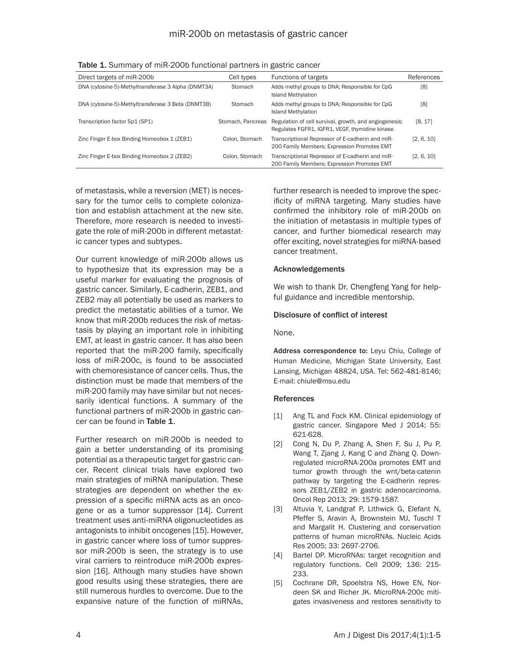| Direct targets of miR-200b                          | Cell types        | Functions of targets                                                                                     | References |
|-----------------------------------------------------|-------------------|----------------------------------------------------------------------------------------------------------|------------|
| DNA (cytosine-5)-Methyltransferase 3 Alpha (DNMT3A) | Stomach           | Adds methyl groups to DNA; Responsible for CpG<br><b>Island Methylation</b>                              | [8]        |
| DNA (cytosine-5)-Methyltransferase 3 Beta (DNMT3B)  | Stomach           | Adds methyl groups to DNA; Responsible for CpG<br><b>Island Methylation</b>                              | [8]        |
| Transcription factor Sp1 (SP1)                      | Stomach, Pancreas | Regulation of cell survival, growth, and angiogenesis;<br>Regulates FGFR1, IGFR1, VEGF, thymidine kinase | [8, 17]    |
| Zinc Finger E-box Binding Homeobox 1 (ZEB1)         | Colon, Stomach    | Transcriptional Repressor of E-cadherin and miR-<br>200 Family Members; Expression Promotes EMT          | [2, 6, 10] |
| Zinc Finger E-box Binding Homeobox 2 (ZEB2)         | Colon, Stomach    | Transcriptional Repressor of E-cadherin and miR-<br>200 Family Members; Expression Promotes EMT          | [2, 6, 10] |

Table 1. Summary of miR-200b functional partners in gastric cancer

of metastasis, while a reversion (MET) is necessary for the tumor cells to complete colonization and establish attachment at the new site. Therefore, more research is needed to investigate the role of miR-200b in different metastatic cancer types and subtypes.

Our current knowledge of miR-200b allows us to hypothesize that its expression may be a useful marker for evaluating the prognosis of gastric cancer. Similarly, E-cadherin, ZEB1, and ZEB2 may all potentially be used as markers to predict the metastatic abilities of a tumor. We know that miR-200b reduces the risk of metastasis by playing an important role in inhibiting EMT, at least in gastric cancer. It has also been reported that the miR-200 family, specifically loss of miR-200c, is found to be associated with chemoresistance of cancer cells. Thus, the distinction must be made that members of the miR-200 family may have similar but not necessarily identical functions. A summary of the functional partners of miR-200b in gastric cancer can be found in Table 1.

Further research on miR-200b is needed to gain a better understanding of its promising potential as a therapeutic target for gastric cancer. Recent clinical trials have explored two main strategies of miRNA manipulation. These strategies are dependent on whether the expression of a specific miRNA acts as an oncogene or as a tumor suppressor [14]. Current treatment uses anti-miRNA oligonucleotides as antagonists to inhibit oncogenes [15]. However, in gastric cancer where loss of tumor suppressor miR-200b is seen, the strategy is to use viral carriers to reintroduce miR-200b expression [16]. Although many studies have shown good results using these strategies, there are still numerous hurdles to overcome. Due to the expansive nature of the function of miRNAs,

further research is needed to improve the specificity of miRNA targeting. Many studies have confirmed the inhibitory role of miR-200b on the initiation of metastasis in multiple types of cancer, and further biomedical research may offer exciting, novel strategies for miRNA-based cancer treatment.

### Acknowledgements

We wish to thank Dr. Chengfeng Yang for helpful guidance and incredible mentorship.

#### Disclosure of conflict of interest

None.

Address correspondence to: Leyu Chiu, College of Human Medicine, Michigan State University, East Lansing, Michigan 48824, USA. Tel: 562-481-8146; E-mail: [chiule@msu.edu](mailto:chiule@msu.edu)

#### References

- [1] Ang TL and Fock KM. Clinical epidemiology of gastric cancer. Singapore Med J 2014; 55: 621-628.
- [2] Cong N, Du P, Zhang A, Shen F, Su J, Pu P, Wang T, Zjang J, Kang C and Zhang Q. Downregulated microRNA-200a promotes EMT and tumor growth through the wnt/beta-catenin pathway by targeting the E-cadherin repressors ZEB1/ZEB2 in gastric adenocarcinoma. Oncol Rep 2013; 29: 1579-1587.
- [3] Altuvia Y, Landgraf P, Lithwick G, Elefant N, Pfeffer S, Aravin A, Brownstein MJ, Tuschl T and Margalit H. Clustering and conservation patterns of human microRNAs. Nucleic Acids Res 2005; 33: 2697-2706.
- [4] Bartel DP. MicroRNAs: target recognition and regulatory functions. Cell 2009; 136: 215- 233.
- [5] Cochrane DR, Spoelstra NS, Howe EN, Nordeen SK and Richer JK. MicroRNA-200c mitigates invasiveness and restores sensitivity to